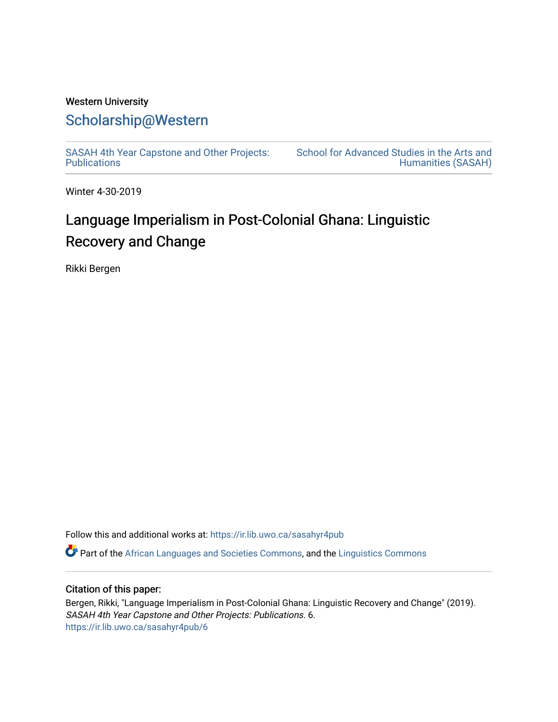# Western University [Scholarship@Western](https://ir.lib.uwo.ca/)

[SASAH 4th Year Capstone and Other Projects:](https://ir.lib.uwo.ca/sasahyr4pub)  **Publications** 

[School for Advanced Studies in the Arts and](https://ir.lib.uwo.ca/sasah)  [Humanities \(SASAH\)](https://ir.lib.uwo.ca/sasah) 

Winter 4-30-2019

# Language Imperialism in Post-Colonial Ghana: Linguistic Recovery and Change

Rikki Bergen

Follow this and additional works at: [https://ir.lib.uwo.ca/sasahyr4pub](https://ir.lib.uwo.ca/sasahyr4pub?utm_source=ir.lib.uwo.ca%2Fsasahyr4pub%2F6&utm_medium=PDF&utm_campaign=PDFCoverPages) 

 $\bullet$  Part of the [African Languages and Societies Commons,](http://network.bepress.com/hgg/discipline/476?utm_source=ir.lib.uwo.ca%2Fsasahyr4pub%2F6&utm_medium=PDF&utm_campaign=PDFCoverPages) and the [Linguistics Commons](http://network.bepress.com/hgg/discipline/371?utm_source=ir.lib.uwo.ca%2Fsasahyr4pub%2F6&utm_medium=PDF&utm_campaign=PDFCoverPages)

## Citation of this paper:

Bergen, Rikki, "Language Imperialism in Post-Colonial Ghana: Linguistic Recovery and Change" (2019). SASAH 4th Year Capstone and Other Projects: Publications. 6. [https://ir.lib.uwo.ca/sasahyr4pub/6](https://ir.lib.uwo.ca/sasahyr4pub/6?utm_source=ir.lib.uwo.ca%2Fsasahyr4pub%2F6&utm_medium=PDF&utm_campaign=PDFCoverPages)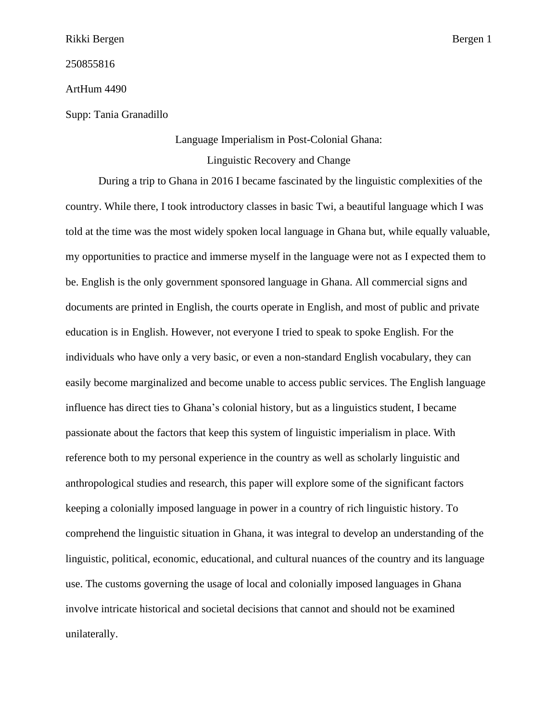250855816

ArtHum 4490

Supp: Tania Granadillo

Language Imperialism in Post-Colonial Ghana:

Linguistic Recovery and Change

During a trip to Ghana in 2016 I became fascinated by the linguistic complexities of the country. While there, I took introductory classes in basic Twi, a beautiful language which I was told at the time was the most widely spoken local language in Ghana but, while equally valuable, my opportunities to practice and immerse myself in the language were not as I expected them to be. English is the only government sponsored language in Ghana. All commercial signs and documents are printed in English, the courts operate in English, and most of public and private education is in English. However, not everyone I tried to speak to spoke English. For the individuals who have only a very basic, or even a non-standard English vocabulary, they can easily become marginalized and become unable to access public services. The English language influence has direct ties to Ghana's colonial history, but as a linguistics student, I became passionate about the factors that keep this system of linguistic imperialism in place. With reference both to my personal experience in the country as well as scholarly linguistic and anthropological studies and research, this paper will explore some of the significant factors keeping a colonially imposed language in power in a country of rich linguistic history. To comprehend the linguistic situation in Ghana, it was integral to develop an understanding of the linguistic, political, economic, educational, and cultural nuances of the country and its language use. The customs governing the usage of local and colonially imposed languages in Ghana involve intricate historical and societal decisions that cannot and should not be examined unilaterally.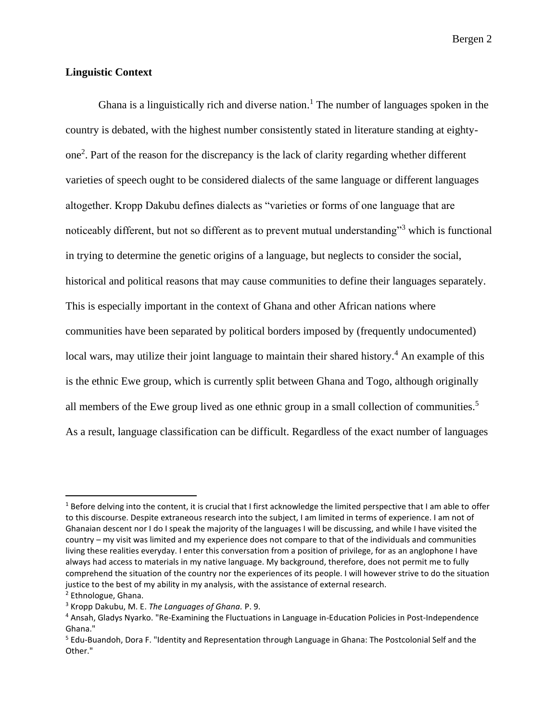## **Linguistic Context**

Ghana is a linguistically rich and diverse nation.<sup>1</sup> The number of languages spoken in the country is debated, with the highest number consistently stated in literature standing at eightyone<sup>2</sup> . Part of the reason for the discrepancy is the lack of clarity regarding whether different varieties of speech ought to be considered dialects of the same language or different languages altogether. Kropp Dakubu defines dialects as "varieties or forms of one language that are noticeably different, but not so different as to prevent mutual understanding"<sup>3</sup> which is functional in trying to determine the genetic origins of a language, but neglects to consider the social, historical and political reasons that may cause communities to define their languages separately. This is especially important in the context of Ghana and other African nations where communities have been separated by political borders imposed by (frequently undocumented) local wars, may utilize their joint language to maintain their shared history.<sup>4</sup> An example of this is the ethnic Ewe group, which is currently split between Ghana and Togo, although originally all members of the Ewe group lived as one ethnic group in a small collection of communities.<sup>5</sup> As a result, language classification can be difficult. Regardless of the exact number of languages

<sup>&</sup>lt;sup>1</sup> Before delving into the content, it is crucial that I first acknowledge the limited perspective that I am able to offer to this discourse. Despite extraneous research into the subject, I am limited in terms of experience. I am not of Ghanaian descent nor I do I speak the majority of the languages I will be discussing, and while I have visited the country – my visit was limited and my experience does not compare to that of the individuals and communities living these realities everyday. I enter this conversation from a position of privilege, for as an anglophone I have always had access to materials in my native language. My background, therefore, does not permit me to fully comprehend the situation of the country nor the experiences of its people. I will however strive to do the situation justice to the best of my ability in my analysis, with the assistance of external research. <sup>2</sup> Ethnologue, Ghana.

<sup>3</sup> Kropp Dakubu, M. E. *The Languages of Ghana.* P. 9.

<sup>4</sup> Ansah, Gladys Nyarko. "Re-Examining the Fluctuations in Language in-Education Policies in Post-Independence Ghana."

<sup>5</sup> Edu-Buandoh, Dora F. "Identity and Representation through Language in Ghana: The Postcolonial Self and the Other."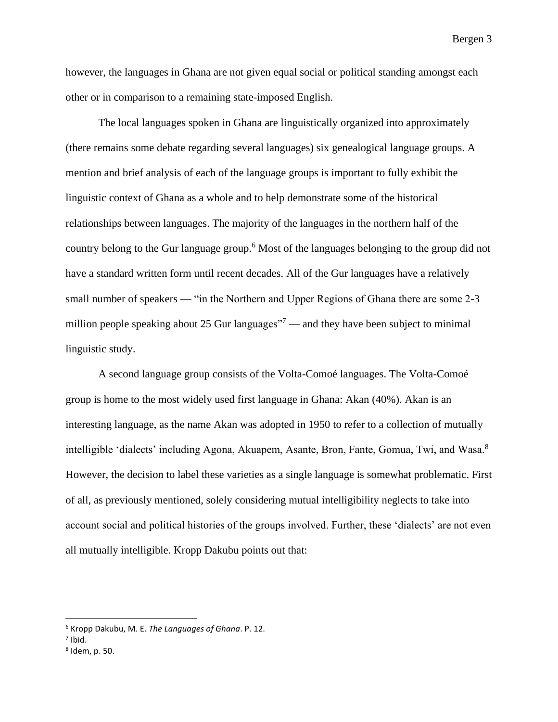however, the languages in Ghana are not given equal social or political standing amongst each other or in comparison to a remaining state-imposed English.

The local languages spoken in Ghana are linguistically organized into approximately (there remains some debate regarding several languages) six genealogical language groups. A mention and brief analysis of each of the language groups is important to fully exhibit the linguistic context of Ghana as a whole and to help demonstrate some of the historical relationships between languages. The majority of the languages in the northern half of the country belong to the Gur language group. <sup>6</sup> Most of the languages belonging to the group did not have a standard written form until recent decades. All of the Gur languages have a relatively small number of speakers — "in the Northern and Upper Regions of Ghana there are some 2-3 million people speaking about 25 Gur languages $\frac{1}{7}$  and they have been subject to minimal linguistic study.

A second language group consists of the Volta-Comoé languages. The Volta-Comoé group is home to the most widely used first language in Ghana: Akan (40%). Akan is an interesting language, as the name Akan was adopted in 1950 to refer to a collection of mutually intelligible 'dialects' including Agona, Akuapem, Asante, Bron, Fante, Gomua, Twi, and Wasa.<sup>8</sup> However, the decision to label these varieties as a single language is somewhat problematic. First of all, as previously mentioned, solely considering mutual intelligibility neglects to take into account social and political histories of the groups involved. Further, these 'dialects' are not even all mutually intelligible. Kropp Dakubu points out that:

<sup>6</sup> Kropp Dakubu, M. E. *The Languages of Ghana*. P. 12.

 $<sup>7</sup>$  Ibid.</sup>

<sup>8</sup> Idem, p. 50.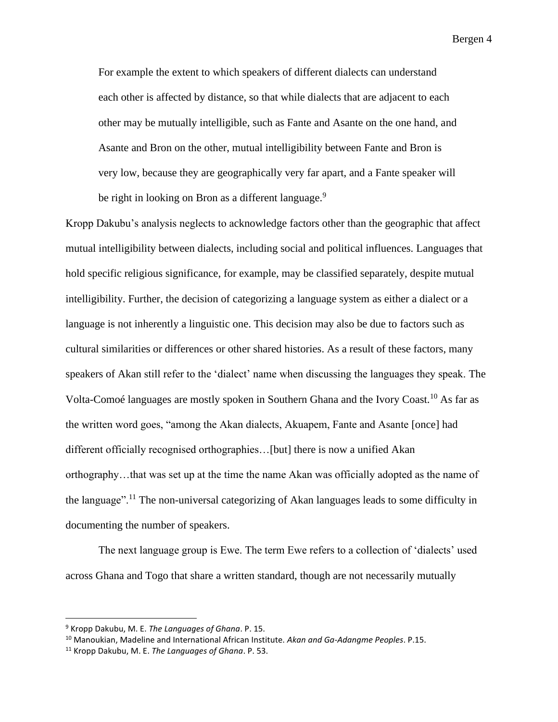For example the extent to which speakers of different dialects can understand each other is affected by distance, so that while dialects that are adjacent to each other may be mutually intelligible, such as Fante and Asante on the one hand, and Asante and Bron on the other, mutual intelligibility between Fante and Bron is very low, because they are geographically very far apart, and a Fante speaker will be right in looking on Bron as a different language. $9$ 

Kropp Dakubu's analysis neglects to acknowledge factors other than the geographic that affect mutual intelligibility between dialects, including social and political influences. Languages that hold specific religious significance, for example, may be classified separately, despite mutual intelligibility. Further, the decision of categorizing a language system as either a dialect or a language is not inherently a linguistic one. This decision may also be due to factors such as cultural similarities or differences or other shared histories. As a result of these factors, many speakers of Akan still refer to the 'dialect' name when discussing the languages they speak. The Volta-Comoé languages are mostly spoken in Southern Ghana and the Ivory Coast.<sup>10</sup> As far as the written word goes, "among the Akan dialects, Akuapem, Fante and Asante [once] had different officially recognised orthographies…[but] there is now a unified Akan orthography…that was set up at the time the name Akan was officially adopted as the name of the language".<sup>11</sup> The non-universal categorizing of Akan languages leads to some difficulty in documenting the number of speakers.

The next language group is Ewe. The term Ewe refers to a collection of 'dialects' used across Ghana and Togo that share a written standard, though are not necessarily mutually

<sup>9</sup> Kropp Dakubu, M. E. *The Languages of Ghana*. P. 15.

<sup>10</sup> Manoukian, Madeline and International African Institute. *Akan and Ga-Adangme Peoples*. P.15.

<sup>11</sup> Kropp Dakubu, M. E. *The Languages of Ghana*. P. 53.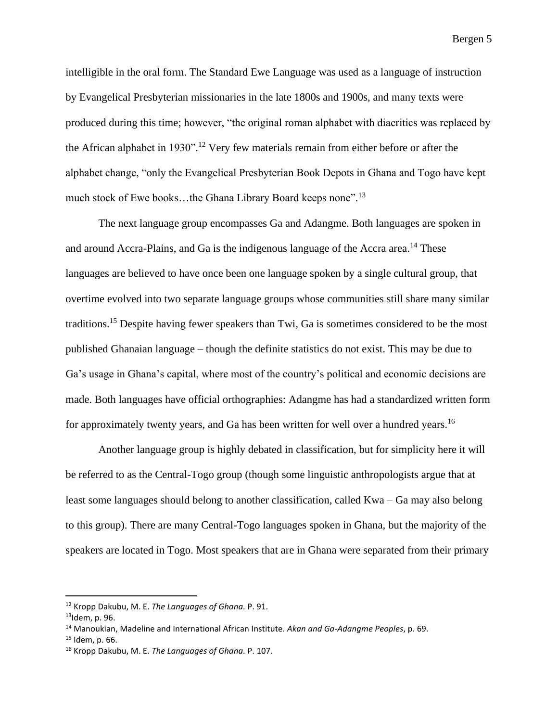intelligible in the oral form. The Standard Ewe Language was used as a language of instruction by Evangelical Presbyterian missionaries in the late 1800s and 1900s, and many texts were produced during this time; however, "the original roman alphabet with diacritics was replaced by the African alphabet in 1930".<sup>12</sup> Very few materials remain from either before or after the alphabet change, "only the Evangelical Presbyterian Book Depots in Ghana and Togo have kept much stock of Ewe books...the Ghana Library Board keeps none".<sup>13</sup>

The next language group encompasses Ga and Adangme. Both languages are spoken in and around Accra-Plains, and Ga is the indigenous language of the Accra area.<sup>14</sup> These languages are believed to have once been one language spoken by a single cultural group, that overtime evolved into two separate language groups whose communities still share many similar traditions.<sup>15</sup> Despite having fewer speakers than Twi, Ga is sometimes considered to be the most published Ghanaian language – though the definite statistics do not exist. This may be due to Ga's usage in Ghana's capital, where most of the country's political and economic decisions are made. Both languages have official orthographies: Adangme has had a standardized written form for approximately twenty years, and Ga has been written for well over a hundred years.<sup>16</sup>

Another language group is highly debated in classification, but for simplicity here it will be referred to as the Central-Togo group (though some linguistic anthropologists argue that at least some languages should belong to another classification, called Kwa – Ga may also belong to this group). There are many Central-Togo languages spoken in Ghana, but the majority of the speakers are located in Togo. Most speakers that are in Ghana were separated from their primary

<sup>12</sup> Kropp Dakubu, M. E. *The Languages of Ghana.* P. 91.

 $13$ Idem, p. 96.

<sup>14</sup> Manoukian, Madeline and International African Institute. *Akan and Ga-Adangme Peoples*, p. 69.

 $15$  Idem, p. 66.

<sup>16</sup> Kropp Dakubu, M. E. *The Languages of Ghana.* P. 107.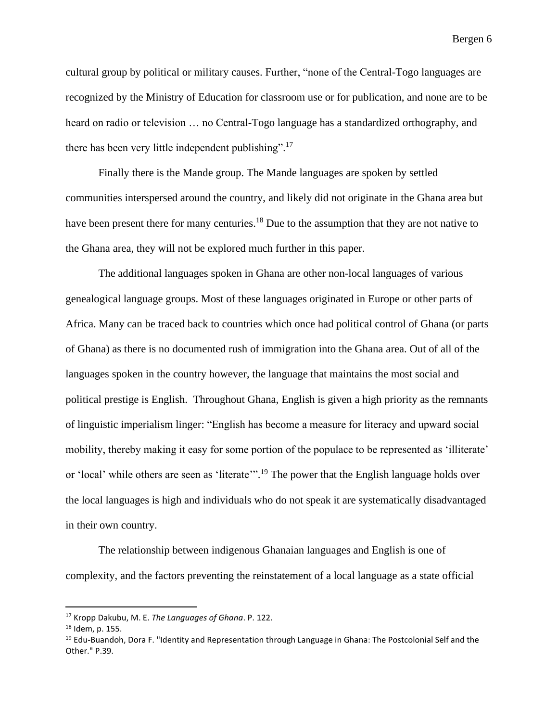cultural group by political or military causes. Further, "none of the Central-Togo languages are recognized by the Ministry of Education for classroom use or for publication, and none are to be heard on radio or television … no Central-Togo language has a standardized orthography, and there has been very little independent publishing".<sup>17</sup>

Finally there is the Mande group. The Mande languages are spoken by settled communities interspersed around the country, and likely did not originate in the Ghana area but have been present there for many centuries.<sup>18</sup> Due to the assumption that they are not native to the Ghana area, they will not be explored much further in this paper.

The additional languages spoken in Ghana are other non-local languages of various genealogical language groups. Most of these languages originated in Europe or other parts of Africa. Many can be traced back to countries which once had political control of Ghana (or parts of Ghana) as there is no documented rush of immigration into the Ghana area. Out of all of the languages spoken in the country however, the language that maintains the most social and political prestige is English. Throughout Ghana, English is given a high priority as the remnants of linguistic imperialism linger: "English has become a measure for literacy and upward social mobility, thereby making it easy for some portion of the populace to be represented as 'illiterate' or 'local' while others are seen as 'literate'".<sup>19</sup> The power that the English language holds over the local languages is high and individuals who do not speak it are systematically disadvantaged in their own country.

The relationship between indigenous Ghanaian languages and English is one of complexity, and the factors preventing the reinstatement of a local language as a state official

<sup>17</sup> Kropp Dakubu, M. E. *The Languages of Ghana*. P. 122.

<sup>18</sup> Idem, p. 155.

<sup>&</sup>lt;sup>19</sup> Edu-Buandoh, Dora F. "Identity and Representation through Language in Ghana: The Postcolonial Self and the Other." P.39.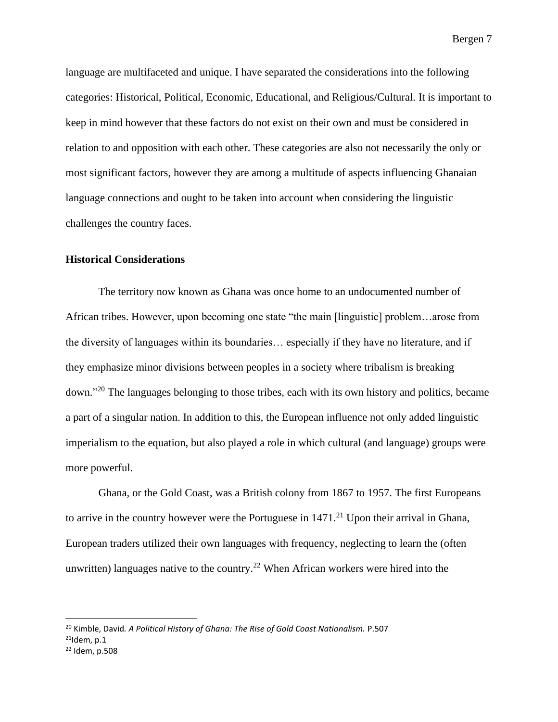language are multifaceted and unique. I have separated the considerations into the following categories: Historical, Political, Economic, Educational, and Religious/Cultural. It is important to keep in mind however that these factors do not exist on their own and must be considered in relation to and opposition with each other. These categories are also not necessarily the only or most significant factors, however they are among a multitude of aspects influencing Ghanaian language connections and ought to be taken into account when considering the linguistic challenges the country faces.

#### **Historical Considerations**

The territory now known as Ghana was once home to an undocumented number of African tribes. However, upon becoming one state "the main [linguistic] problem…arose from the diversity of languages within its boundaries… especially if they have no literature, and if they emphasize minor divisions between peoples in a society where tribalism is breaking down."<sup>20</sup> The languages belonging to those tribes, each with its own history and politics, became a part of a singular nation. In addition to this, the European influence not only added linguistic imperialism to the equation, but also played a role in which cultural (and language) groups were more powerful.

Ghana, or the Gold Coast, was a British colony from 1867 to 1957. The first Europeans to arrive in the country however were the Portuguese in  $1471<sup>21</sup>$  Upon their arrival in Ghana, European traders utilized their own languages with frequency, neglecting to learn the (often unwritten) languages native to the country.<sup>22</sup> When African workers were hired into the

<sup>20</sup> Kimble, David*. A Political History of Ghana: The Rise of Gold Coast Nationalism.* P.507

 $21$ Idem, p.1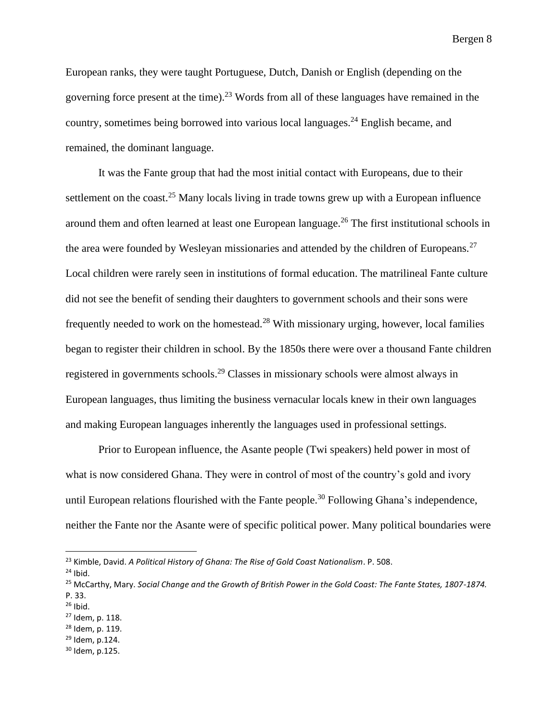European ranks, they were taught Portuguese, Dutch, Danish or English (depending on the governing force present at the time).<sup>23</sup> Words from all of these languages have remained in the country, sometimes being borrowed into various local languages.<sup>24</sup> English became, and remained, the dominant language.

It was the Fante group that had the most initial contact with Europeans, due to their settlement on the coast.<sup>25</sup> Many locals living in trade towns grew up with a European influence around them and often learned at least one European language.<sup>26</sup> The first institutional schools in the area were founded by Wesleyan missionaries and attended by the children of Europeans.<sup>27</sup> Local children were rarely seen in institutions of formal education. The matrilineal Fante culture did not see the benefit of sending their daughters to government schools and their sons were frequently needed to work on the homestead.<sup>28</sup> With missionary urging, however, local families began to register their children in school. By the 1850s there were over a thousand Fante children registered in governments schools.<sup>29</sup> Classes in missionary schools were almost always in European languages, thus limiting the business vernacular locals knew in their own languages and making European languages inherently the languages used in professional settings.

Prior to European influence, the Asante people (Twi speakers) held power in most of what is now considered Ghana. They were in control of most of the country's gold and ivory until European relations flourished with the Fante people.<sup>30</sup> Following Ghana's independence, neither the Fante nor the Asante were of specific political power. Many political boundaries were

- <sup>28</sup> Idem, p. 119.
- <sup>29</sup> Idem, p.124.
- <sup>30</sup> Idem, p.125.

<sup>23</sup> Kimble, David. *A Political History of Ghana: The Rise of Gold Coast Nationalism*. P. 508.

 $24$  Ibid.

<sup>25</sup> McCarthy, Mary. *Social Change and the Growth of British Power in the Gold Coast: The Fante States, 1807-1874.* P. 33.

 $26$  Ibid.

<sup>27</sup> Idem, p. 118.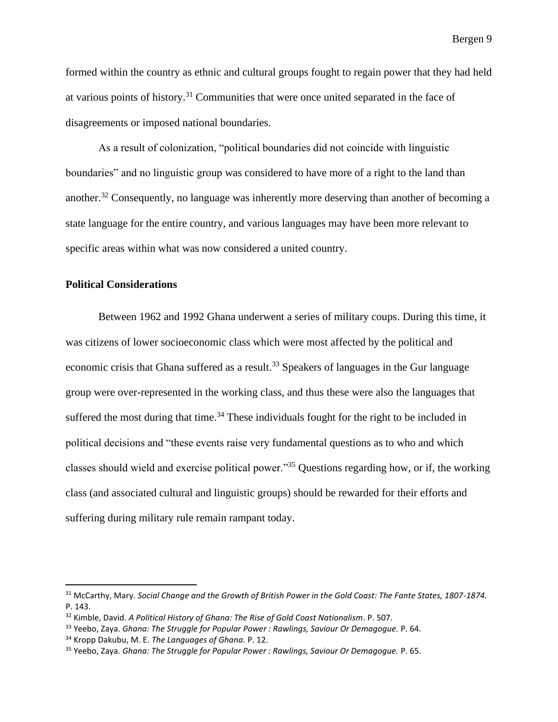formed within the country as ethnic and cultural groups fought to regain power that they had held at various points of history.<sup>31</sup> Communities that were once united separated in the face of disagreements or imposed national boundaries.

As a result of colonization, "political boundaries did not coincide with linguistic boundaries" and no linguistic group was considered to have more of a right to the land than another.<sup>32</sup> Consequently, no language was inherently more deserving than another of becoming a state language for the entire country, and various languages may have been more relevant to specific areas within what was now considered a united country.

# **Political Considerations**

Between 1962 and 1992 Ghana underwent a series of military coups. During this time, it was citizens of lower socioeconomic class which were most affected by the political and economic crisis that Ghana suffered as a result.<sup>33</sup> Speakers of languages in the Gur language group were over-represented in the working class, and thus these were also the languages that suffered the most during that time. $34$  These individuals fought for the right to be included in political decisions and "these events raise very fundamental questions as to who and which classes should wield and exercise political power."<sup>35</sup> Questions regarding how, or if, the working class (and associated cultural and linguistic groups) should be rewarded for their efforts and suffering during military rule remain rampant today.

<sup>31</sup> McCarthy, Mary. *Social Change and the Growth of British Power in the Gold Coast: The Fante States, 1807-1874.* P. 143.

<sup>32</sup> Kimble, David. *A Political History of Ghana: The Rise of Gold Coast Nationalism*. P. 507.

<sup>33</sup> Yeebo, Zaya. *Ghana: The Struggle for Popular Power : Rawlings, Saviour Or Demagogue.* P. 64.

<sup>34</sup> Kropp Dakubu, M. E. *The Languages of Ghana.* P. 12.

<sup>35</sup> Yeebo, Zaya. *Ghana: The Struggle for Popular Power : Rawlings, Saviour Or Demagogue.* P. 65.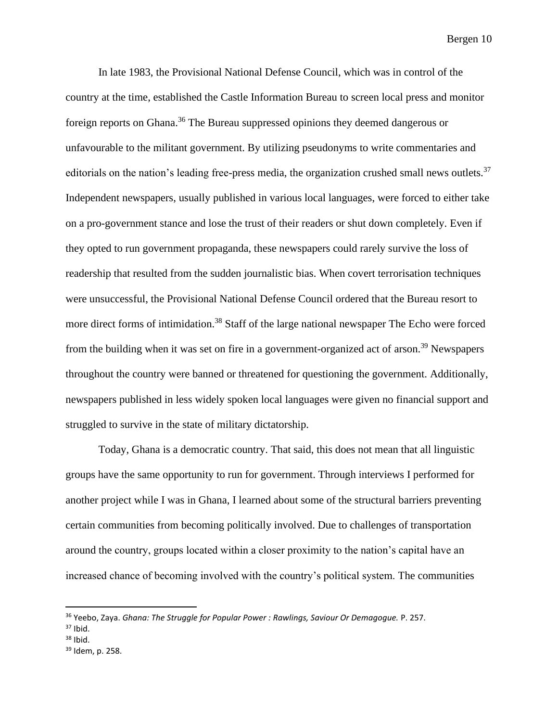In late 1983, the Provisional National Defense Council, which was in control of the country at the time, established the Castle Information Bureau to screen local press and monitor foreign reports on Ghana.<sup>36</sup> The Bureau suppressed opinions they deemed dangerous or unfavourable to the militant government. By utilizing pseudonyms to write commentaries and editorials on the nation's leading free-press media, the organization crushed small news outlets.<sup>37</sup> Independent newspapers, usually published in various local languages, were forced to either take on a pro-government stance and lose the trust of their readers or shut down completely. Even if they opted to run government propaganda, these newspapers could rarely survive the loss of readership that resulted from the sudden journalistic bias. When covert terrorisation techniques were unsuccessful, the Provisional National Defense Council ordered that the Bureau resort to more direct forms of intimidation.<sup>38</sup> Staff of the large national newspaper The Echo were forced from the building when it was set on fire in a government-organized act of arson.<sup>39</sup> Newspapers throughout the country were banned or threatened for questioning the government. Additionally, newspapers published in less widely spoken local languages were given no financial support and struggled to survive in the state of military dictatorship.

Today, Ghana is a democratic country. That said, this does not mean that all linguistic groups have the same opportunity to run for government. Through interviews I performed for another project while I was in Ghana, I learned about some of the structural barriers preventing certain communities from becoming politically involved. Due to challenges of transportation around the country, groups located within a closer proximity to the nation's capital have an increased chance of becoming involved with the country's political system. The communities

<sup>36</sup> Yeebo, Zaya. *Ghana: The Struggle for Popular Power : Rawlings, Saviour Or Demagogue.* P. 257.

 $37$  Ibid.

 $38$  Ibid.

<sup>39</sup> Idem, p. 258.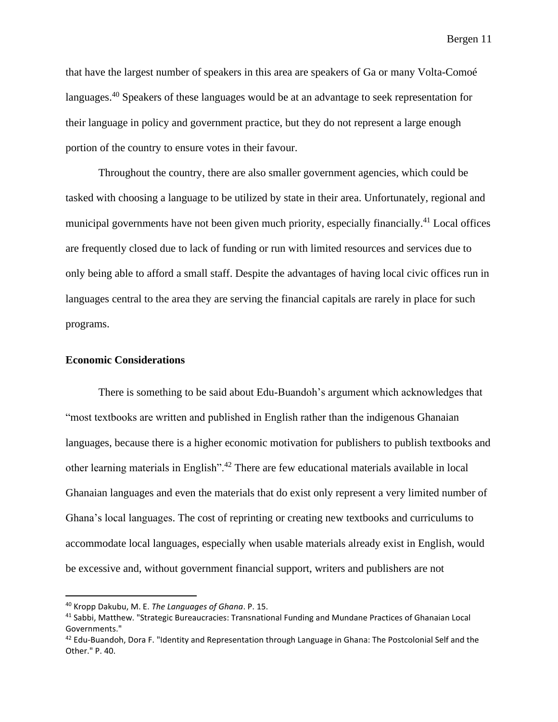that have the largest number of speakers in this area are speakers of Ga or many Volta-Comoé languages.<sup>40</sup> Speakers of these languages would be at an advantage to seek representation for their language in policy and government practice, but they do not represent a large enough portion of the country to ensure votes in their favour.

Throughout the country, there are also smaller government agencies, which could be tasked with choosing a language to be utilized by state in their area. Unfortunately, regional and municipal governments have not been given much priority, especially financially.<sup>41</sup> Local offices are frequently closed due to lack of funding or run with limited resources and services due to only being able to afford a small staff. Despite the advantages of having local civic offices run in languages central to the area they are serving the financial capitals are rarely in place for such programs.

#### **Economic Considerations**

There is something to be said about Edu-Buandoh's argument which acknowledges that "most textbooks are written and published in English rather than the indigenous Ghanaian languages, because there is a higher economic motivation for publishers to publish textbooks and other learning materials in English".<sup>42</sup> There are few educational materials available in local Ghanaian languages and even the materials that do exist only represent a very limited number of Ghana's local languages. The cost of reprinting or creating new textbooks and curriculums to accommodate local languages, especially when usable materials already exist in English, would be excessive and, without government financial support, writers and publishers are not

<sup>40</sup> Kropp Dakubu, M. E. *The Languages of Ghana*. P. 15.

<sup>41</sup> Sabbi, Matthew. "Strategic Bureaucracies: Transnational Funding and Mundane Practices of Ghanaian Local Governments."

<sup>&</sup>lt;sup>42</sup> Edu-Buandoh, Dora F. "Identity and Representation through Language in Ghana: The Postcolonial Self and the Other." P. 40.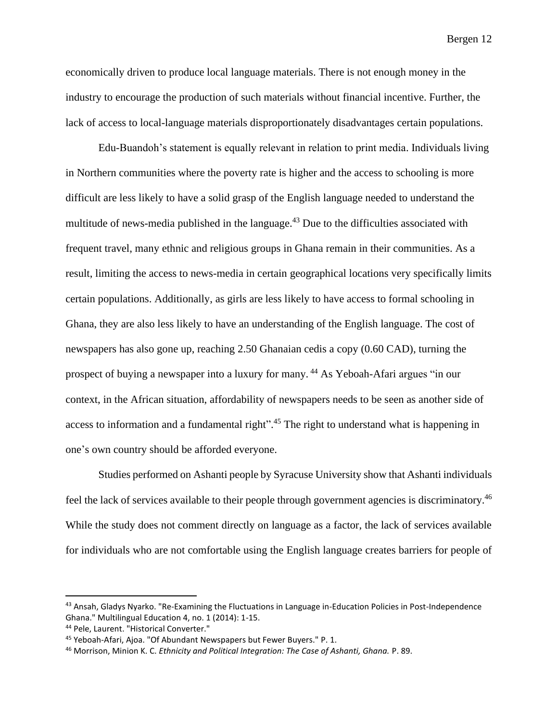economically driven to produce local language materials. There is not enough money in the industry to encourage the production of such materials without financial incentive. Further, the lack of access to local-language materials disproportionately disadvantages certain populations.

Edu-Buandoh's statement is equally relevant in relation to print media. Individuals living in Northern communities where the poverty rate is higher and the access to schooling is more difficult are less likely to have a solid grasp of the English language needed to understand the multitude of news-media published in the language.<sup>43</sup> Due to the difficulties associated with frequent travel, many ethnic and religious groups in Ghana remain in their communities. As a result, limiting the access to news-media in certain geographical locations very specifically limits certain populations. Additionally, as girls are less likely to have access to formal schooling in Ghana, they are also less likely to have an understanding of the English language. The cost of newspapers has also gone up, reaching 2.50 Ghanaian cedis a copy (0.60 CAD), turning the prospect of buying a newspaper into a luxury for many. <sup>44</sup> As Yeboah-Afari argues "in our context, in the African situation, affordability of newspapers needs to be seen as another side of access to information and a fundamental right".<sup>45</sup> The right to understand what is happening in one's own country should be afforded everyone.

Studies performed on Ashanti people by Syracuse University show that Ashanti individuals feel the lack of services available to their people through government agencies is discriminatory.<sup>46</sup> While the study does not comment directly on language as a factor, the lack of services available for individuals who are not comfortable using the English language creates barriers for people of

<sup>&</sup>lt;sup>43</sup> Ansah, Gladys Nyarko. "Re-Examining the Fluctuations in Language in-Education Policies in Post-Independence Ghana." Multilingual Education 4, no. 1 (2014): 1-15.

<sup>44</sup> Pele, Laurent. "Historical Converter."

<sup>45</sup> Yeboah-Afari, Ajoa. "Of Abundant Newspapers but Fewer Buyers." P. 1.

<sup>46</sup> Morrison, Minion K. C. *Ethnicity and Political Integration: The Case of Ashanti, Ghana.* P. 89.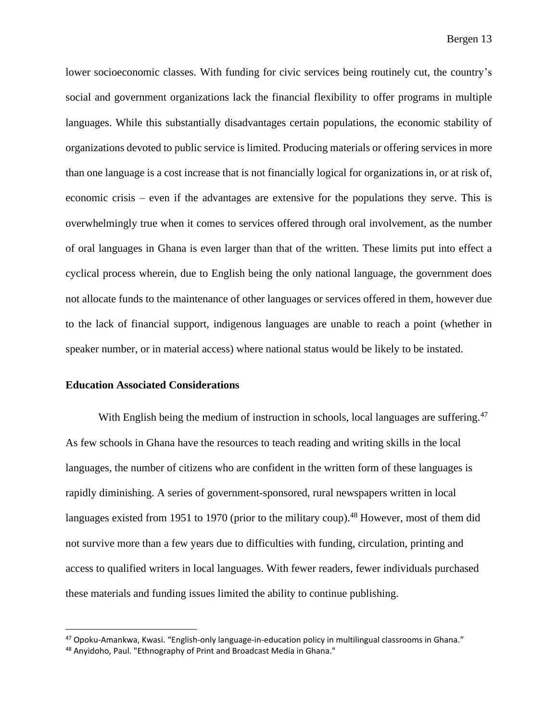lower socioeconomic classes. With funding for civic services being routinely cut, the country's social and government organizations lack the financial flexibility to offer programs in multiple languages. While this substantially disadvantages certain populations, the economic stability of organizations devoted to public service is limited. Producing materials or offering services in more than one language is a cost increase that is not financially logical for organizations in, or at risk of, economic crisis – even if the advantages are extensive for the populations they serve. This is overwhelmingly true when it comes to services offered through oral involvement, as the number of oral languages in Ghana is even larger than that of the written. These limits put into effect a cyclical process wherein, due to English being the only national language, the government does not allocate funds to the maintenance of other languages or services offered in them, however due to the lack of financial support, indigenous languages are unable to reach a point (whether in speaker number, or in material access) where national status would be likely to be instated.

#### **Education Associated Considerations**

With English being the medium of instruction in schools, local languages are suffering.<sup>47</sup> As few schools in Ghana have the resources to teach reading and writing skills in the local languages, the number of citizens who are confident in the written form of these languages is rapidly diminishing. A series of government-sponsored, rural newspapers written in local languages existed from 1951 to 1970 (prior to the military coup).<sup>48</sup> However, most of them did not survive more than a few years due to difficulties with funding, circulation, printing and access to qualified writers in local languages. With fewer readers, fewer individuals purchased these materials and funding issues limited the ability to continue publishing.

<sup>47</sup> Opoku-Amankwa, Kwasi. "English-only language-in-education policy in multilingual classrooms in Ghana."

<sup>48</sup> Anyidoho, Paul. "Ethnography of Print and Broadcast Media in Ghana."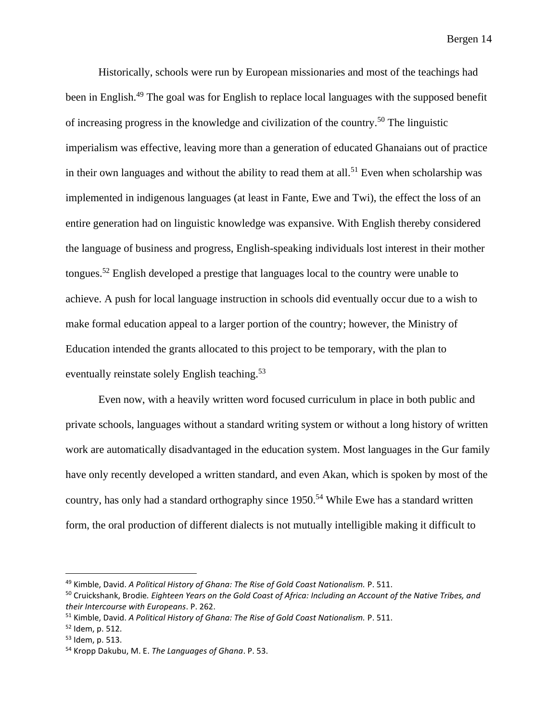Historically, schools were run by European missionaries and most of the teachings had been in English.<sup>49</sup> The goal was for English to replace local languages with the supposed benefit of increasing progress in the knowledge and civilization of the country.<sup>50</sup> The linguistic imperialism was effective, leaving more than a generation of educated Ghanaians out of practice in their own languages and without the ability to read them at all.<sup>51</sup> Even when scholarship was implemented in indigenous languages (at least in Fante, Ewe and Twi), the effect the loss of an entire generation had on linguistic knowledge was expansive. With English thereby considered the language of business and progress, English-speaking individuals lost interest in their mother tongues.<sup>52</sup> English developed a prestige that languages local to the country were unable to achieve. A push for local language instruction in schools did eventually occur due to a wish to make formal education appeal to a larger portion of the country; however, the Ministry of Education intended the grants allocated to this project to be temporary, with the plan to eventually reinstate solely English teaching.<sup>53</sup>

Even now, with a heavily written word focused curriculum in place in both public and private schools, languages without a standard writing system or without a long history of written work are automatically disadvantaged in the education system. Most languages in the Gur family have only recently developed a written standard, and even Akan, which is spoken by most of the country, has only had a standard orthography since 1950.<sup>54</sup> While Ewe has a standard written form, the oral production of different dialects is not mutually intelligible making it difficult to

<sup>49</sup> Kimble, David. *A Political History of Ghana: The Rise of Gold Coast Nationalism.* P. 511.

<sup>50</sup> Cruickshank, Brodie*. Eighteen Years on the Gold Coast of Africa: Including an Account of the Native Tribes, and their Intercourse with Europeans*. P. 262.

<sup>51</sup> Kimble, David. *A Political History of Ghana: The Rise of Gold Coast Nationalism.* P. 511.

<sup>52</sup> Idem, p. 512.

<sup>53</sup> Idem, p. 513.

<sup>54</sup> Kropp Dakubu, M. E. *The Languages of Ghana*. P. 53.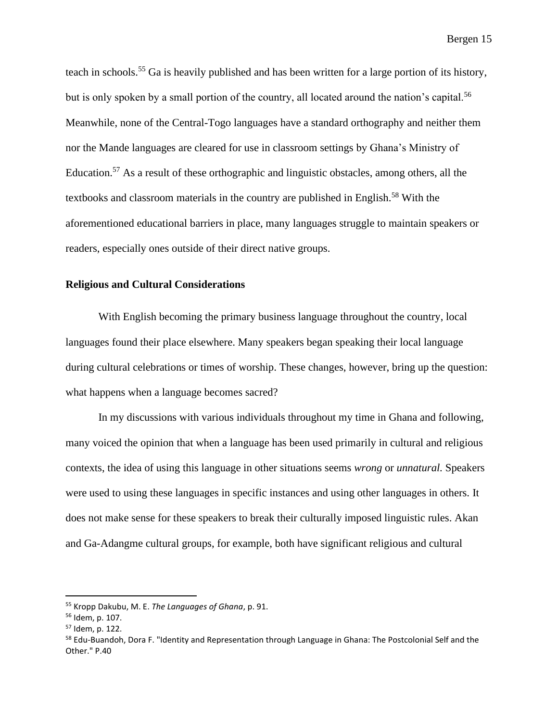teach in schools.<sup>55</sup> Ga is heavily published and has been written for a large portion of its history, but is only spoken by a small portion of the country, all located around the nation's capital.<sup>56</sup> Meanwhile, none of the Central-Togo languages have a standard orthography and neither them nor the Mande languages are cleared for use in classroom settings by Ghana's Ministry of Education.<sup>57</sup> As a result of these orthographic and linguistic obstacles, among others, all the textbooks and classroom materials in the country are published in English.<sup>58</sup> With the aforementioned educational barriers in place, many languages struggle to maintain speakers or readers, especially ones outside of their direct native groups.

#### **Religious and Cultural Considerations**

With English becoming the primary business language throughout the country, local languages found their place elsewhere. Many speakers began speaking their local language during cultural celebrations or times of worship. These changes, however, bring up the question: what happens when a language becomes sacred?

In my discussions with various individuals throughout my time in Ghana and following, many voiced the opinion that when a language has been used primarily in cultural and religious contexts, the idea of using this language in other situations seems *wrong* or *unnatural.* Speakers were used to using these languages in specific instances and using other languages in others. It does not make sense for these speakers to break their culturally imposed linguistic rules. Akan and Ga-Adangme cultural groups, for example, both have significant religious and cultural

<sup>55</sup> Kropp Dakubu, M. E. *The Languages of Ghana*, p. 91.

<sup>56</sup> Idem, p. 107.

<sup>57</sup> Idem, p. 122.

<sup>&</sup>lt;sup>58</sup> Edu-Buandoh, Dora F. "Identity and Representation through Language in Ghana: The Postcolonial Self and the Other." P.40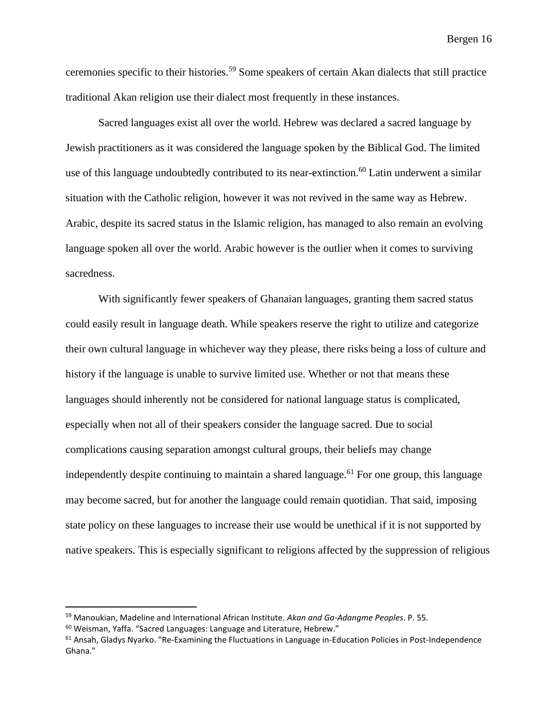ceremonies specific to their histories.<sup>59</sup> Some speakers of certain Akan dialects that still practice traditional Akan religion use their dialect most frequently in these instances.

Sacred languages exist all over the world. Hebrew was declared a sacred language by Jewish practitioners as it was considered the language spoken by the Biblical God. The limited use of this language undoubtedly contributed to its near-extinction.<sup>60</sup> Latin underwent a similar situation with the Catholic religion, however it was not revived in the same way as Hebrew. Arabic, despite its sacred status in the Islamic religion, has managed to also remain an evolving language spoken all over the world. Arabic however is the outlier when it comes to surviving sacredness.

With significantly fewer speakers of Ghanaian languages, granting them sacred status could easily result in language death. While speakers reserve the right to utilize and categorize their own cultural language in whichever way they please, there risks being a loss of culture and history if the language is unable to survive limited use. Whether or not that means these languages should inherently not be considered for national language status is complicated, especially when not all of their speakers consider the language sacred. Due to social complications causing separation amongst cultural groups, their beliefs may change independently despite continuing to maintain a shared language.<sup>61</sup> For one group, this language may become sacred, but for another the language could remain quotidian. That said, imposing state policy on these languages to increase their use would be unethical if it is not supported by native speakers. This is especially significant to religions affected by the suppression of religious

<sup>59</sup> Manoukian, Madeline and International African Institute. *Akan and Ga-Adangme Peoples*. P. 55.

<sup>60</sup> Weisman, Yaffa. "Sacred Languages: Language and Literature, Hebrew."

 $61$  Ansah, Gladys Nyarko. "Re-Examining the Fluctuations in Language in-Education Policies in Post-Independence Ghana."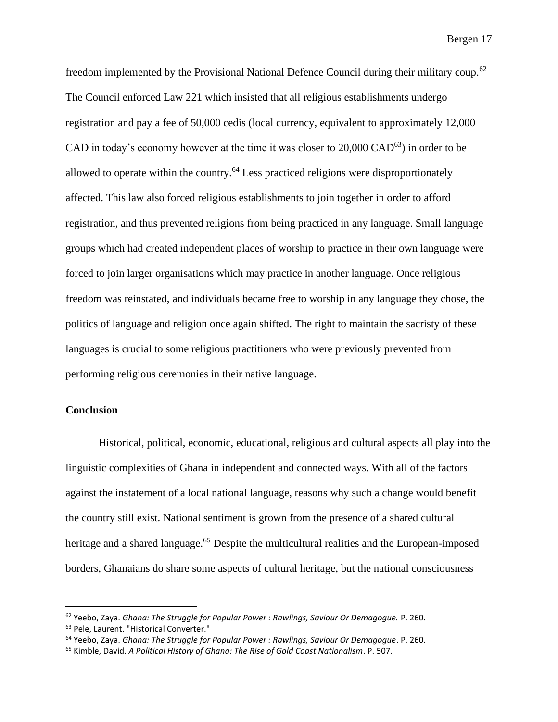freedom implemented by the Provisional National Defence Council during their military coup.<sup>62</sup> The Council enforced Law 221 which insisted that all religious establishments undergo registration and pay a fee of 50,000 cedis (local currency, equivalent to approximately 12,000 CAD in today's economy however at the time it was closer to  $20,000 \text{ CAD}^{63}$ ) in order to be allowed to operate within the country.<sup>64</sup> Less practiced religions were disproportionately affected. This law also forced religious establishments to join together in order to afford registration, and thus prevented religions from being practiced in any language. Small language groups which had created independent places of worship to practice in their own language were forced to join larger organisations which may practice in another language. Once religious freedom was reinstated, and individuals became free to worship in any language they chose, the politics of language and religion once again shifted. The right to maintain the sacristy of these languages is crucial to some religious practitioners who were previously prevented from performing religious ceremonies in their native language.

#### **Conclusion**

Historical, political, economic, educational, religious and cultural aspects all play into the linguistic complexities of Ghana in independent and connected ways. With all of the factors against the instatement of a local national language, reasons why such a change would benefit the country still exist. National sentiment is grown from the presence of a shared cultural heritage and a shared language.<sup>65</sup> Despite the multicultural realities and the European-imposed borders, Ghanaians do share some aspects of cultural heritage, but the national consciousness

<sup>62</sup> Yeebo, Zaya. *Ghana: The Struggle for Popular Power : Rawlings, Saviour Or Demagogue.* P. 260.

<sup>63</sup> Pele, Laurent. "Historical Converter."

<sup>64</sup> Yeebo, Zaya. *Ghana: The Struggle for Popular Power : Rawlings, Saviour Or Demagogue*. P. 260.

<sup>65</sup> Kimble, David. *A Political History of Ghana: The Rise of Gold Coast Nationalism*. P. 507.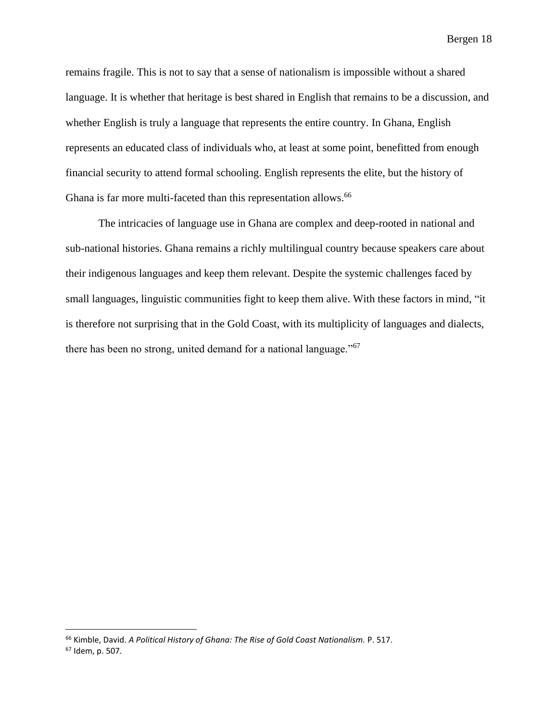remains fragile. This is not to say that a sense of nationalism is impossible without a shared language. It is whether that heritage is best shared in English that remains to be a discussion, and whether English is truly a language that represents the entire country. In Ghana, English represents an educated class of individuals who, at least at some point, benefitted from enough financial security to attend formal schooling. English represents the elite, but the history of Ghana is far more multi-faceted than this representation allows.<sup>66</sup>

The intricacies of language use in Ghana are complex and deep-rooted in national and sub-national histories. Ghana remains a richly multilingual country because speakers care about their indigenous languages and keep them relevant. Despite the systemic challenges faced by small languages, linguistic communities fight to keep them alive. With these factors in mind, "it is therefore not surprising that in the Gold Coast, with its multiplicity of languages and dialects, there has been no strong, united demand for a national language."<sup>67</sup>

<sup>66</sup> Kimble, David. *A Political History of Ghana: The Rise of Gold Coast Nationalism.* P. 517.

<sup>67</sup> Idem, p. 507.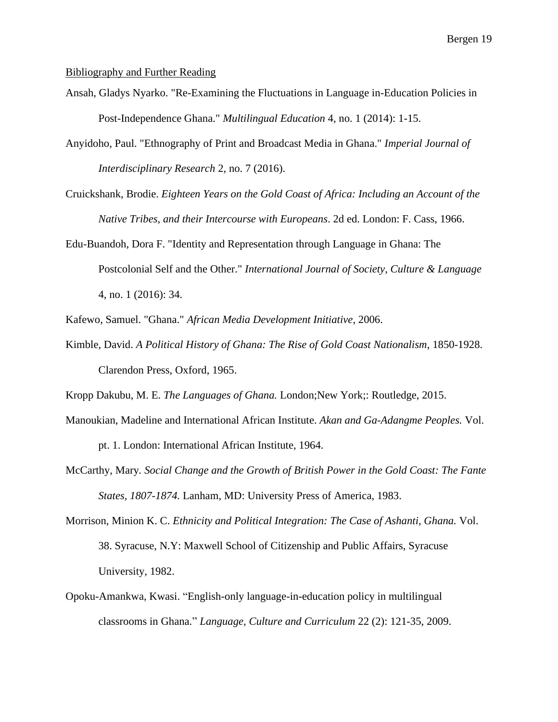#### Bibliography and Further Reading

- Ansah, Gladys Nyarko. "Re-Examining the Fluctuations in Language in-Education Policies in Post-Independence Ghana." *Multilingual Education* 4, no. 1 (2014): 1-15.
- Anyidoho, Paul. "Ethnography of Print and Broadcast Media in Ghana." *Imperial Journal of Interdisciplinary Research* 2, no. 7 (2016).
- Cruickshank, Brodie. *Eighteen Years on the Gold Coast of Africa: Including an Account of the Native Tribes, and their Intercourse with Europeans*. 2d ed. London: F. Cass, 1966.
- Edu-Buandoh, Dora F. "Identity and Representation through Language in Ghana: The Postcolonial Self and the Other." *International Journal of Society, Culture & Language* 4, no. 1 (2016): 34.
- Kafewo, Samuel. "Ghana." *African Media Development Initiative*, 2006.
- Kimble, David. *A Political History of Ghana: The Rise of Gold Coast Nationalism*, 1850-1928. Clarendon Press, Oxford, 1965.

Kropp Dakubu, M. E. *The Languages of Ghana.* London;New York;: Routledge, 2015.

- Manoukian, Madeline and International African Institute. *Akan and Ga-Adangme Peoples.* Vol. pt. 1. London: International African Institute, 1964.
- McCarthy, Mary*. Social Change and the Growth of British Power in the Gold Coast: The Fante States, 1807-1874.* Lanham, MD: University Press of America, 1983.
- Morrison, Minion K. C. *Ethnicity and Political Integration: The Case of Ashanti, Ghana.* Vol. 38. Syracuse, N.Y: Maxwell School of Citizenship and Public Affairs, Syracuse University, 1982.
- Opoku-Amankwa, Kwasi. "English-only language-in-education policy in multilingual classrooms in Ghana." *Language, Culture and Curriculum* 22 (2): 121-35, 2009.